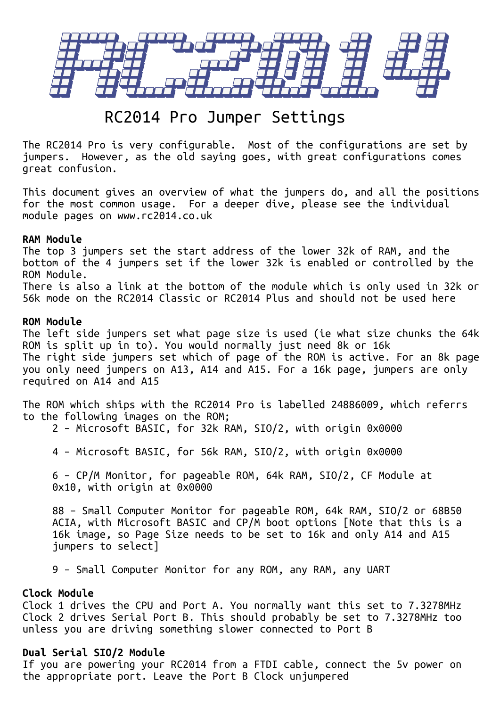

# RC2014 Pro Jumper Settings

The RC2014 Pro is very configurable. Most of the configurations are set by jumpers. However, as the old saying goes, with great configurations comes great confusion.

This document gives an overview of what the jumpers do, and all the positions for the most common usage. For a deeper dive, please see the individual module pages on www.rc2014.co.uk

## **RAM Module**

The top 3 jumpers set the start address of the lower 32k of RAM, and the bottom of the 4 jumpers set if the lower 32k is enabled or controlled by the ROM Module. There is also a link at the bottom of the module which is only used in 32k or 56k mode on the RC2014 Classic or RC2014 Plus and should not be used here

# **ROM Module**

The left side jumpers set what page size is used (ie what size chunks the 64k ROM is split up in to). You would normally just need 8k or 16k The right side jumpers set which of page of the ROM is active. For an 8k page you only need jumpers on A13, A14 and A15. For a 16k page, jumpers are only required on A14 and A15

The ROM which ships with the RC2014 Pro is labelled 24886009, which referrs to the following images on the ROM;

- 2 Microsoft BASIC, for 32k RAM, SIO/2, with origin 0x0000
- 4 Microsoft BASIC, for 56k RAM, SIO/2, with origin 0x0000

6 – CP/M Monitor, for pageable ROM, 64k RAM, SIO/2, CF Module at 0x10, with origin at 0x0000

88 – Small Computer Monitor for pageable ROM, 64k RAM, SIO/2 or 68B50 ACIA, with Microsoft BASIC and CP/M boot options [Note that this is a 16k image, so Page Size needs to be set to 16k and only A14 and A15 jumpers to select]

9 – Small Computer Monitor for any ROM, any RAM, any UART

# **Clock Module**

Clock 1 drives the CPU and Port A. You normally want this set to 7.3278MHz Clock 2 drives Serial Port B. This should probably be set to 7.3278MHz too unless you are driving something slower connected to Port B

## **Dual Serial SIO/2 Module**

If you are powering your RC2014 from a FTDI cable, connect the 5v power on the appropriate port. Leave the Port B Clock unjumpered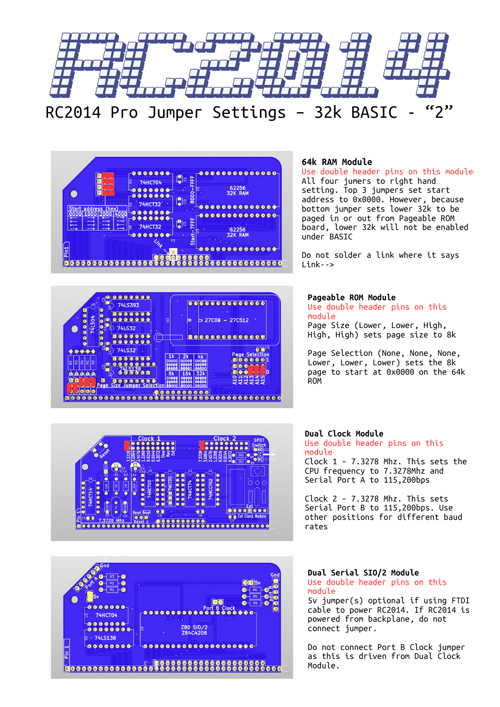







**64k RAM Module**

Use double header pins on this module All four jumers to right hand setting. Top 3 jumpers set start address to 0x0000. However, because bottom jumper sets lower 32k to be paged in or out from Pageable ROM board, lower 32k will not be enabled under BASIC

Do not solder a link where it says Link-->

#### **Pageable ROM Module**

Use double header pins on this module

Page Size (Lower, Lower, High, High, High) sets page size to 8k

Page Selection (None, None, None, Lower, Lower, Lower) sets the 8k page to start at 0x0000 on the 64k ROM

#### **Dual Clock Module** Use double header pins on this module

Clock 1 – 7.3278 Mhz. This sets the CPU frequency to 7.3278Mhz and Serial Port A to 115,200bps

Clock 2 – 7.3278 Mhz. This sets Serial Port B to 115,200bps. Use other positions for different baud rates



## **Dual Serial SIO/2 Module** Use double header pins on this module

5v jumper(s) optional if using FTDI cable to power RC2014. If RC2014 is powered from backplane, do not connect jumper.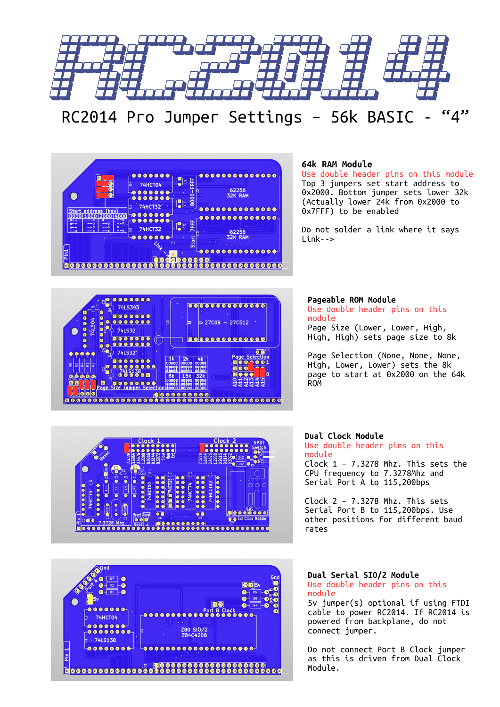

RC2014 Pro Jumper Settings – 56k BASIC - "4"







## **64k RAM Module**

Use double header pins on this module Top 3 jumpers set start address to 0x2000. Bottom jumper sets lower 32k (Actually lower 24k from 0x2000 to 0x7FFF) to be enabled

Do not solder a link where it says Link-->

## **Pageable ROM Module** Use double header pins on this module Page Size (Lower, Lower, High,

High, High) sets page size to 8k

Page Selection (None, None, None, High, Lower, Lower) sets the 8k page to start at 0x2000 on the 64k **ROM** 

## **Dual Clock Module** Use double header pins on this module

Clock 1 – 7.3278 Mhz. This sets the CPU frequency to 7.3278Mhz and Serial Port A to 115,200bps

Clock 2 – 7.3278 Mhz. This sets Serial Port B to 115,200bps. Use other positions for different baud rates



**Dual Serial SIO/2 Module** Use double header pins on this module

5v jumper(s) optional if using FTDI cable to power RC2014. If RC2014 is powered from backplane, do not connect jumper.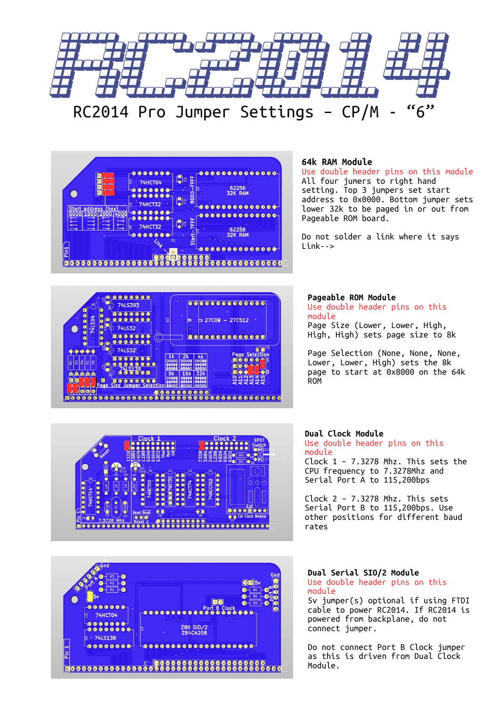







**64k RAM Module**

Use double header pins on this module All four jumers to right hand setting. Top 3 jumpers set start address to 0x0000. Bottom jumper sets lower 32k to be paged in or out from Pageable ROM board.

Do not solder a link where it says Link-->

# **Pageable ROM Module**

Use double header pins on this module

Page Size (Lower, Lower, High, High, High) sets page size to 8k

Page Selection (None, None, None, Lower, Lower, High) sets the 8k page to start at 0x8000 on the 64k ROM

#### **Dual Clock Module** Use double header pins on this module

Clock 1 – 7.3278 Mhz. This sets the CPU frequency to 7.3278Mhz and Serial Port A to 115,200bps

Clock 2 – 7.3278 Mhz. This sets Serial Port B to 115,200bps. Use other positions for different baud rates



**Dual Serial SIO/2 Module** Use double header pins on this module

5v jumper(s) optional if using FTDI cable to power RC2014. If RC2014 is powered from backplane, do not connect jumper.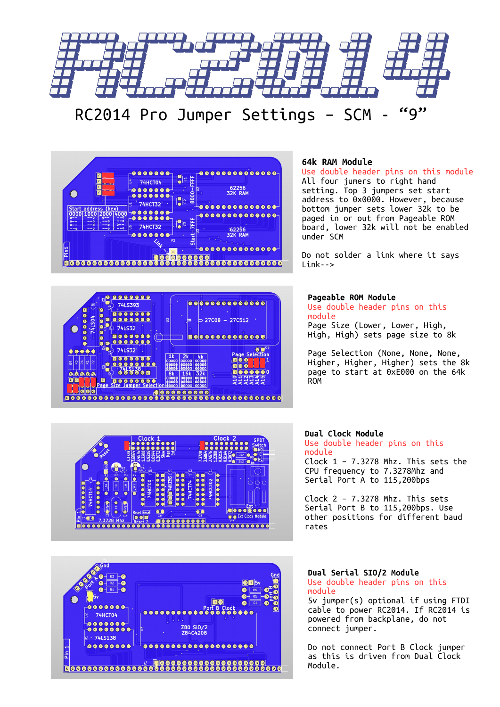

RC2014 Pro Jumper Settings – SCM - "9"







**64k RAM Module**

Use double header pins on this module All four jumers to right hand setting. Top 3 jumpers set start address to 0x0000. However, because bottom jumper sets lower 32k to be paged in or out from Pageable ROM board, lower 32k will not be enabled under SCM

Do not solder a link where it says Link-->

#### **Pageable ROM Module**

Use double header pins on this module

Page Size (Lower, Lower, High, High, High) sets page size to 8k

Page Selection (None, None, None, Higher, Higher, Higher) sets the 8k page to start at 0xE000 on the 64k ROM

#### **Dual Clock Module** Use double header pins on this module

Clock 1 – 7.3278 Mhz. This sets the CPU frequency to 7.3278Mhz and Serial Port A to 115,200bps

Clock 2 – 7.3278 Mhz. This sets Serial Port B to 115,200bps. Use other positions for different baud rates



**Dual Serial SIO/2 Module** Use double header pins on this module

5v jumper(s) optional if using FTDI cable to power RC2014. If RC2014 is powered from backplane, do not connect jumper.